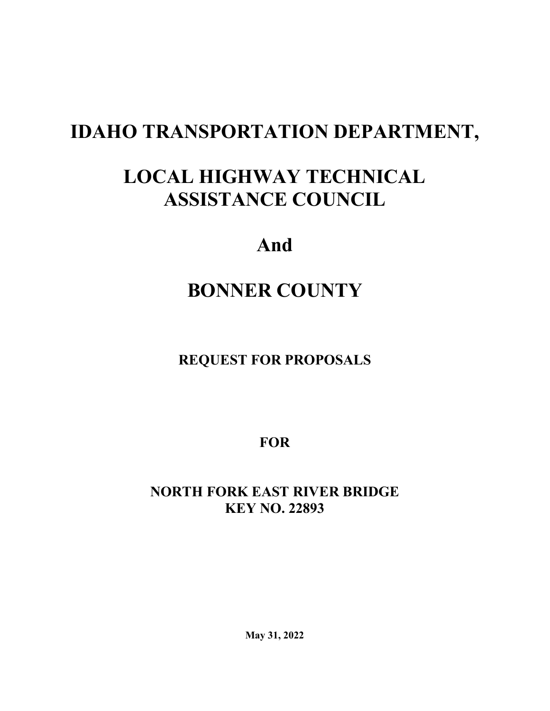# **IDAHO TRANSPORTATION DEPARTMENT,**

# **LOCAL HIGHWAY TECHNICAL ASSISTANCE COUNCIL**

## **And**

# **BONNER COUNTY**

## **REQUEST FOR PROPOSALS**

**FOR**

## **NORTH FORK EAST RIVER BRIDGE KEY NO. 22893**

**May 31, 2022**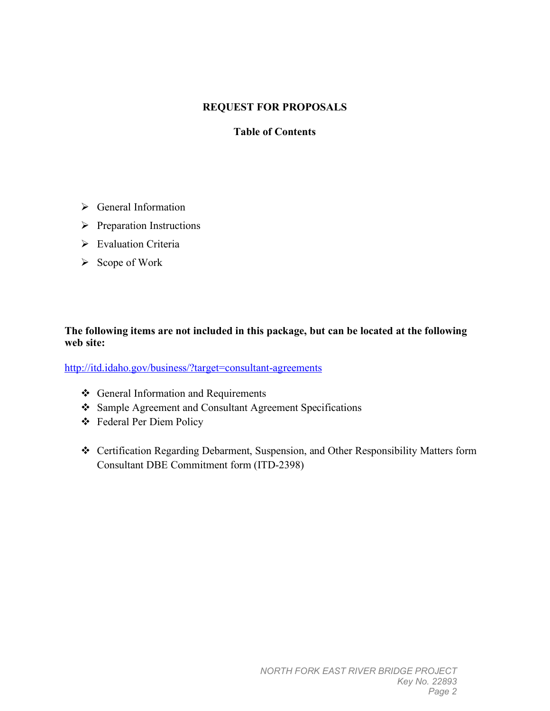#### **REQUEST FOR PROPOSALS**

#### **Table of Contents**

- General Information
- $\triangleright$  Preparation Instructions
- Evaluation Criteria
- $\triangleright$  Scope of Work

#### **The following items are not included in this package, but can be located at the following web site:**

<http://itd.idaho.gov/business/?target=consultant-agreements>

- ❖ General Information and Requirements
- Sample Agreement and Consultant Agreement Specifications
- Federal Per Diem Policy
- Certification Regarding Debarment, Suspension, and Other Responsibility Matters form Consultant DBE Commitment form (ITD-2398)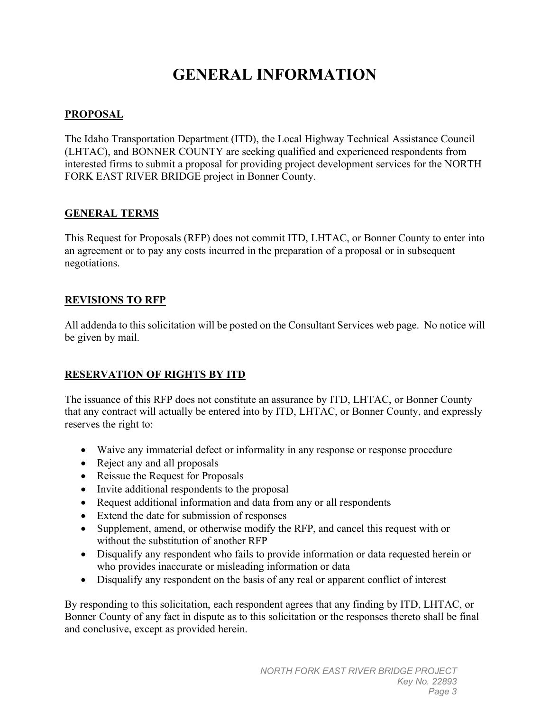## **GENERAL INFORMATION**

#### **PROPOSAL**

The Idaho Transportation Department (ITD), the Local Highway Technical Assistance Council (LHTAC), and BONNER COUNTY are seeking qualified and experienced respondents from interested firms to submit a proposal for providing project development services for the NORTH FORK EAST RIVER BRIDGE project in Bonner County.

#### **GENERAL TERMS**

This Request for Proposals (RFP) does not commit ITD, LHTAC, or Bonner County to enter into an agreement or to pay any costs incurred in the preparation of a proposal or in subsequent negotiations.

#### **REVISIONS TO RFP**

All addenda to this solicitation will be posted on the Consultant Services web page. No notice will be given by mail.

#### **RESERVATION OF RIGHTS BY ITD**

The issuance of this RFP does not constitute an assurance by ITD, LHTAC, or Bonner County that any contract will actually be entered into by ITD, LHTAC, or Bonner County, and expressly reserves the right to:

- Waive any immaterial defect or informality in any response or response procedure
- Reject any and all proposals
- Reissue the Request for Proposals
- Invite additional respondents to the proposal
- Request additional information and data from any or all respondents
- Extend the date for submission of responses
- Supplement, amend, or otherwise modify the RFP, and cancel this request with or without the substitution of another RFP
- Disqualify any respondent who fails to provide information or data requested herein or who provides inaccurate or misleading information or data
- Disqualify any respondent on the basis of any real or apparent conflict of interest

By responding to this solicitation, each respondent agrees that any finding by ITD, LHTAC, or Bonner County of any fact in dispute as to this solicitation or the responses thereto shall be final and conclusive, except as provided herein.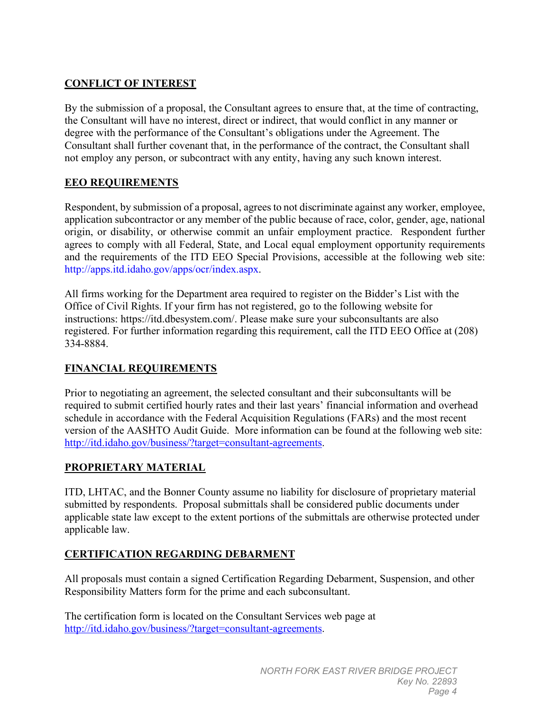#### **CONFLICT OF INTEREST**

By the submission of a proposal, the Consultant agrees to ensure that, at the time of contracting, the Consultant will have no interest, direct or indirect, that would conflict in any manner or degree with the performance of the Consultant's obligations under the Agreement. The Consultant shall further covenant that, in the performance of the contract, the Consultant shall not employ any person, or subcontract with any entity, having any such known interest.

#### **EEO REQUIREMENTS**

Respondent, by submission of a proposal, agrees to not discriminate against any worker, employee, application subcontractor or any member of the public because of race, color, gender, age, national origin, or disability, or otherwise commit an unfair employment practice. Respondent further agrees to comply with all Federal, State, and Local equal employment opportunity requirements and the requirements of the ITD EEO Special Provisions, accessible at the following web site: http://apps.itd.idaho.gov/apps/ocr/index.aspx.

All firms working for the Department area required to register on the Bidder's List with the Office of Civil Rights. If your firm has not registered, go to the following website for instructions: [https://itd.dbesystem.com/.](https://itd.dbesystem.com/) Please make sure your subconsultants are also registered. For further information regarding this requirement, call the ITD EEO Office at (208) 334-8884.

#### **FINANCIAL REQUIREMENTS**

Prior to negotiating an agreement, the selected consultant and their subconsultants will be required to submit certified hourly rates and their last years' financial information and overhead schedule in accordance with the Federal Acquisition Regulations (FARs) and the most recent version of the AASHTO Audit Guide. More information can be found at the following web site: [http://itd.idaho.gov/business/?target=consultant-agreements.](http://itd.idaho.gov/business/?target=consultant-agreements)

#### **PROPRIETARY MATERIAL**

ITD, LHTAC, and the Bonner County assume no liability for disclosure of proprietary material submitted by respondents. Proposal submittals shall be considered public documents under applicable state law except to the extent portions of the submittals are otherwise protected under applicable law.

#### **CERTIFICATION REGARDING DEBARMENT**

All proposals must contain a signed Certification Regarding Debarment, Suspension, and other Responsibility Matters form for the prime and each subconsultant.

The certification form is located on the Consultant Services web page at [http://itd.idaho.gov/business/?target=consultant-agreements.](http://itd.idaho.gov/business/?target=consultant-agreements)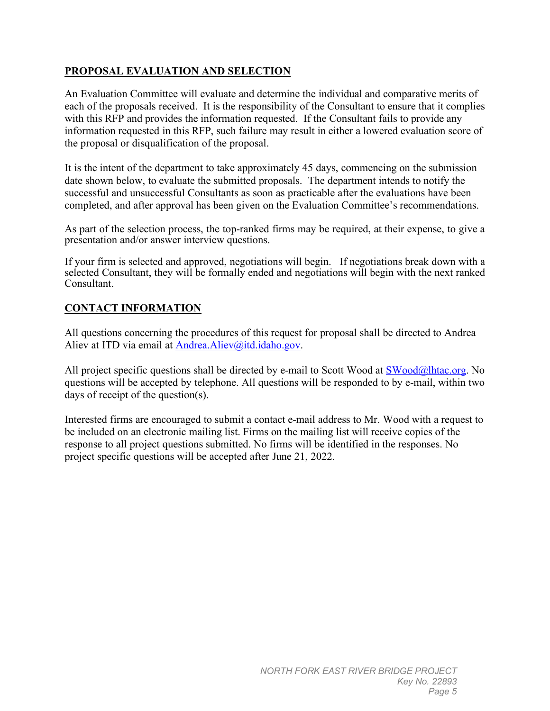#### **PROPOSAL EVALUATION AND SELECTION**

An Evaluation Committee will evaluate and determine the individual and comparative merits of each of the proposals received. It is the responsibility of the Consultant to ensure that it complies with this RFP and provides the information requested. If the Consultant fails to provide any information requested in this RFP, such failure may result in either a lowered evaluation score of the proposal or disqualification of the proposal.

It is the intent of the department to take approximately 45 days, commencing on the submission date shown below, to evaluate the submitted proposals. The department intends to notify the successful and unsuccessful Consultants as soon as practicable after the evaluations have been completed, and after approval has been given on the Evaluation Committee's recommendations.

As part of the selection process, the top-ranked firms may be required, at their expense, to give a presentation and/or answer interview questions.

If your firm is selected and approved, negotiations will begin. If negotiations break down with a selected Consultant, they will be formally ended and negotiations will begin with the next ranked Consultant.

#### **CONTACT INFORMATION**

All questions concerning the procedures of this request for proposal shall be directed to Andrea Aliev at ITD via email at [Andrea.Aliev@itd.idaho.gov.](mailto:Andrea.Aliev@itd.idaho.gov)

All project specific questions shall be directed by e-mail to Scott Wood at  $\frac{\text{SWood}(a)\text{lh}^2}{\text{Sh}^2}$ . No questions will be accepted by telephone. All questions will be responded to by e-mail, within two days of receipt of the question(s).

Interested firms are encouraged to submit a contact e-mail address to Mr. Wood with a request to be included on an electronic mailing list. Firms on the mailing list will receive copies of the response to all project questions submitted. No firms will be identified in the responses. No project specific questions will be accepted after June 21, 2022.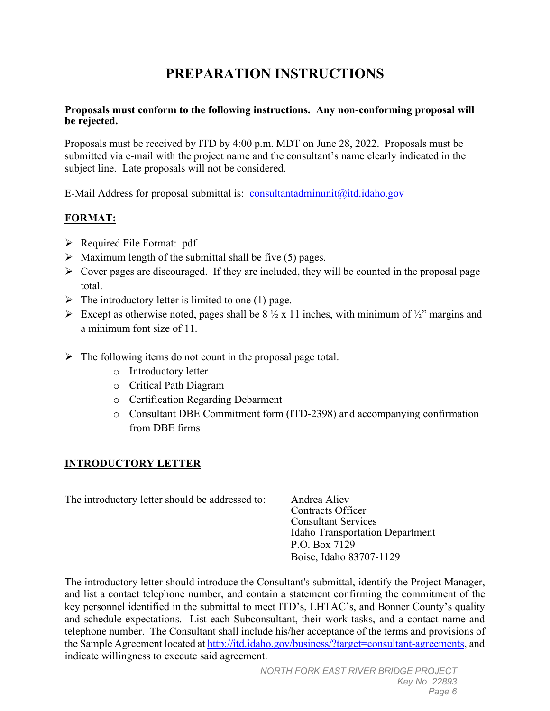## **PREPARATION INSTRUCTIONS**

#### **Proposals must conform to the following instructions. Any non-conforming proposal will be rejected.**

Proposals must be received by ITD by 4:00 p.m. MDT on June 28, 2022. Proposals must be submitted via e-mail with the project name and the consultant's name clearly indicated in the subject line. Late proposals will not be considered.

E-Mail Address for proposal submittal is: [consultantadminunit@itd.idaho.gov](mailto:consultantadminunit@itd.idaho.gov)

#### **FORMAT:**

- $\triangleright$  Required File Format: pdf
- $\triangleright$  Maximum length of the submittal shall be five (5) pages.
- $\triangleright$  Cover pages are discouraged. If they are included, they will be counted in the proposal page total.
- $\triangleright$  The introductory letter is limited to one (1) page.
- Except as otherwise noted, pages shall be  $8\frac{1}{2} \times 11$  inches, with minimum of  $\frac{1}{2}$ " margins and a minimum font size of 11.
- $\triangleright$  The following items do not count in the proposal page total.
	- o Introductory letter
	- o Critical Path Diagram
	- o Certification Regarding Debarment
	- o Consultant DBE Commitment form (ITD-2398) and accompanying confirmation from DBE firms

#### **INTRODUCTORY LETTER**

The introductory letter should be addressed to: Andrea Aliev

Contracts Officer Consultant Services Idaho Transportation Department P.O. Box 7129 Boise, Idaho 83707-1129

The introductory letter should introduce the Consultant's submittal, identify the Project Manager, and list a contact telephone number, and contain a statement confirming the commitment of the key personnel identified in the submittal to meet ITD's, LHTAC's, and Bonner County's quality and schedule expectations. List each Subconsultant, their work tasks, and a contact name and telephone number. The Consultant shall include his/her acceptance of the terms and provisions of the Sample Agreement located a[t http://itd.idaho.gov/business/?target=consultant-agreements,](http://itd.idaho.gov/business/?target=consultant-agreements) and indicate willingness to execute said agreement.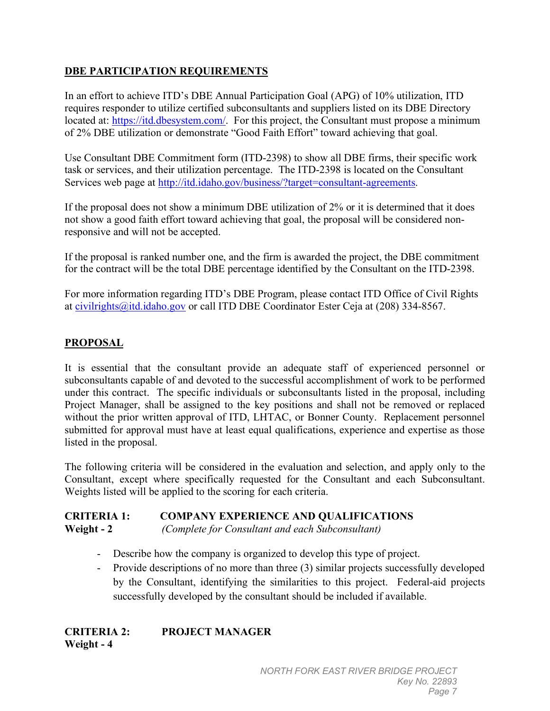#### **DBE PARTICIPATION REQUIREMENTS**

In an effort to achieve ITD's DBE Annual Participation Goal (APG) of 10% utilization, ITD requires responder to utilize certified subconsultants and suppliers listed on its DBE Directory located at: [https://itd.dbesystem.com/.](https://itd.dbesystem.com/) For this project, the Consultant must propose a minimum of 2% DBE utilization or demonstrate "Good Faith Effort" toward achieving that goal.

Use Consultant DBE Commitment form (ITD-2398) to show all DBE firms, their specific work task or services, and their utilization percentage. The ITD-2398 is located on the Consultant Services web page at [http://itd.idaho.gov/business/?target=consultant-agreements.](http://itd.idaho.gov/business/?target=consultant-agreements)

If the proposal does not show a minimum DBE utilization of 2% or it is determined that it does not show a good faith effort toward achieving that goal, the proposal will be considered nonresponsive and will not be accepted.

If the proposal is ranked number one, and the firm is awarded the project, the DBE commitment for the contract will be the total DBE percentage identified by the Consultant on the ITD-2398.

For more information regarding ITD's DBE Program, please contact ITD Office of Civil Rights at [civilrights@itd.idaho.gov](mailto:civilrights@itd.idaho.gov) or call ITD DBE Coordinator Ester Ceja at (208) 334-8567.

#### **PROPOSAL**

It is essential that the consultant provide an adequate staff of experienced personnel or subconsultants capable of and devoted to the successful accomplishment of work to be performed under this contract. The specific individuals or subconsultants listed in the proposal, including Project Manager, shall be assigned to the key positions and shall not be removed or replaced without the prior written approval of ITD, LHTAC, or Bonner County. Replacement personnel submitted for approval must have at least equal qualifications, experience and expertise as those listed in the proposal.

The following criteria will be considered in the evaluation and selection, and apply only to the Consultant, except where specifically requested for the Consultant and each Subconsultant. Weights listed will be applied to the scoring for each criteria.

#### **CRITERIA 1: COMPANY EXPERIENCE AND QUALIFICATIONS Weight - 2** *(Complete for Consultant and each Subconsultant)*

- Describe how the company is organized to develop this type of project.
- Provide descriptions of no more than three (3) similar projects successfully developed by the Consultant, identifying the similarities to this project. Federal-aid projects successfully developed by the consultant should be included if available.

**CRITERIA 2: PROJECT MANAGER Weight - 4**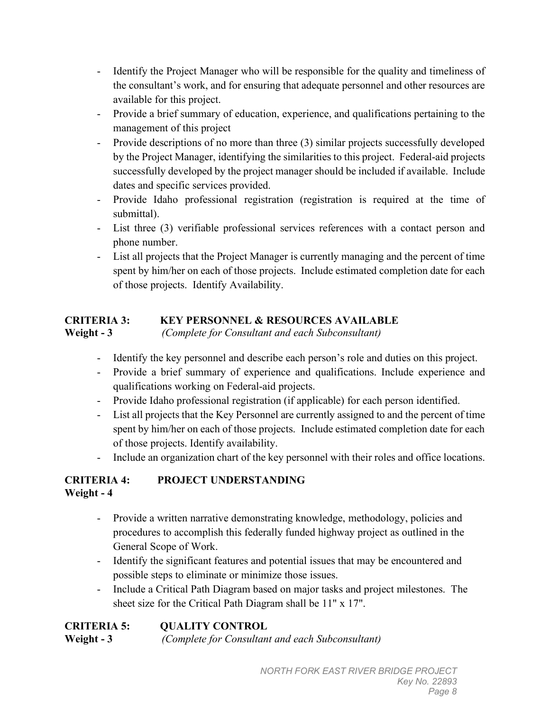- Identify the Project Manager who will be responsible for the quality and timeliness of the consultant's work, and for ensuring that adequate personnel and other resources are available for this project.
- Provide a brief summary of education, experience, and qualifications pertaining to the management of this project
- Provide descriptions of no more than three (3) similar projects successfully developed by the Project Manager, identifying the similarities to this project. Federal-aid projects successfully developed by the project manager should be included if available. Include dates and specific services provided.
- Provide Idaho professional registration (registration is required at the time of submittal).
- List three (3) verifiable professional services references with a contact person and phone number.
- List all projects that the Project Manager is currently managing and the percent of time spent by him/her on each of those projects. Include estimated completion date for each of those projects. Identify Availability.

### **CRITERIA 3: KEY PERSONNEL & RESOURCES AVAILABLE**

**Weight - 3** *(Complete for Consultant and each Subconsultant)*

- Identify the key personnel and describe each person's role and duties on this project.
- Provide a brief summary of experience and qualifications. Include experience and qualifications working on Federal-aid projects.
- Provide Idaho professional registration (if applicable) for each person identified.
- List all projects that the Key Personnel are currently assigned to and the percent of time spent by him/her on each of those projects. Include estimated completion date for each of those projects. Identify availability.
- Include an organization chart of the key personnel with their roles and office locations.

#### **CRITERIA 4: PROJECT UNDERSTANDING Weight - 4**

- Provide a written narrative demonstrating knowledge, methodology, policies and procedures to accomplish this federally funded highway project as outlined in the General Scope of Work.
- Identify the significant features and potential issues that may be encountered and possible steps to eliminate or minimize those issues.
- Include a Critical Path Diagram based on major tasks and project milestones. The sheet size for the Critical Path Diagram shall be 11" x 17".

| <b>CRITERIA 5:</b> | <b>QUALITY CONTROL</b>                           |
|--------------------|--------------------------------------------------|
| Weight $-3$        | (Complete for Consultant and each Subconsultant) |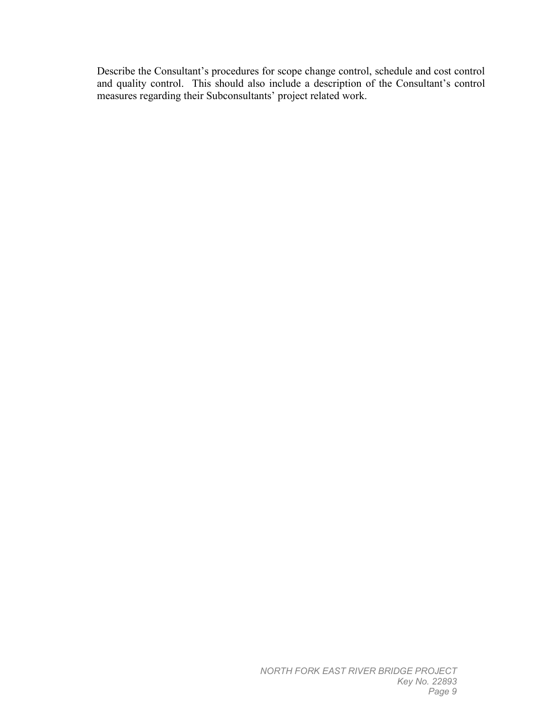Describe the Consultant's procedures for scope change control, schedule and cost control and quality control. This should also include a description of the Consultant's control measures regarding their Subconsultants' project related work.